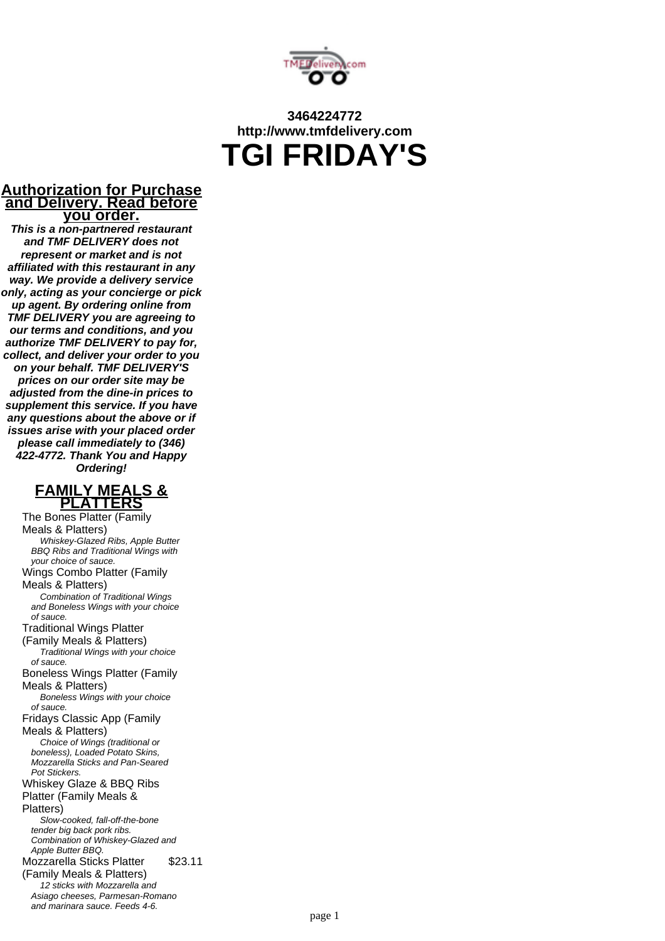

# **3464224772 http://www.tmfdelivery.com TGI FRIDAY'S**

#### **Authorization for Purchase and Delivery. Read before you order.**

**This is a non-partnered restaurant and TMF DELIVERY does not represent or market and is not affiliated with this restaurant in any way. We provide a delivery service only, acting as your concierge or pick up agent. By ordering online from TMF DELIVERY you are agreeing to our terms and conditions, and you authorize TMF DELIVERY to pay for, collect, and deliver your order to you on your behalf. TMF DELIVERY'S prices on our order site may be adjusted from the dine-in prices to supplement this service. If you have any questions about the above or if issues arise with your placed order please call immediately to (346) 422-4772. Thank You and Happy Ordering!**



The Bones Platter (Family Meals & Platters) Whiskey-Glazed Ribs, Apple Butter BBQ Ribs and Traditional Wings with your choice of sauce. Wings Combo Platter (Family Meals & Platters) Combination of Traditional Wings and Boneless Wings with your choice of sauce. Traditional Wings Platter (Family Meals & Platters) Traditional Wings with your choice of sauce. Boneless Wings Platter (Family Meals & Platters) Boneless Wings with your choice of sauce. Fridays Classic App (Family Meals & Platters) Choice of Wings (traditional or boneless), Loaded Potato Skins, Mozzarella Sticks and Pan-Seared Pot Stickers. Whiskey Glaze & BBQ Ribs Platter (Family Meals & Platters) Slow-cooked, fall-off-the-bone tender big back pork ribs. Combination of Whiskey-Glazed and Apple Butter BBQ. Mozzarella Sticks Platter (Family Meals & Platters) \$23.11 12 sticks with Mozzarella and Asiago cheeses, Parmesan-Romano and marinara sauce. Feeds 4-6.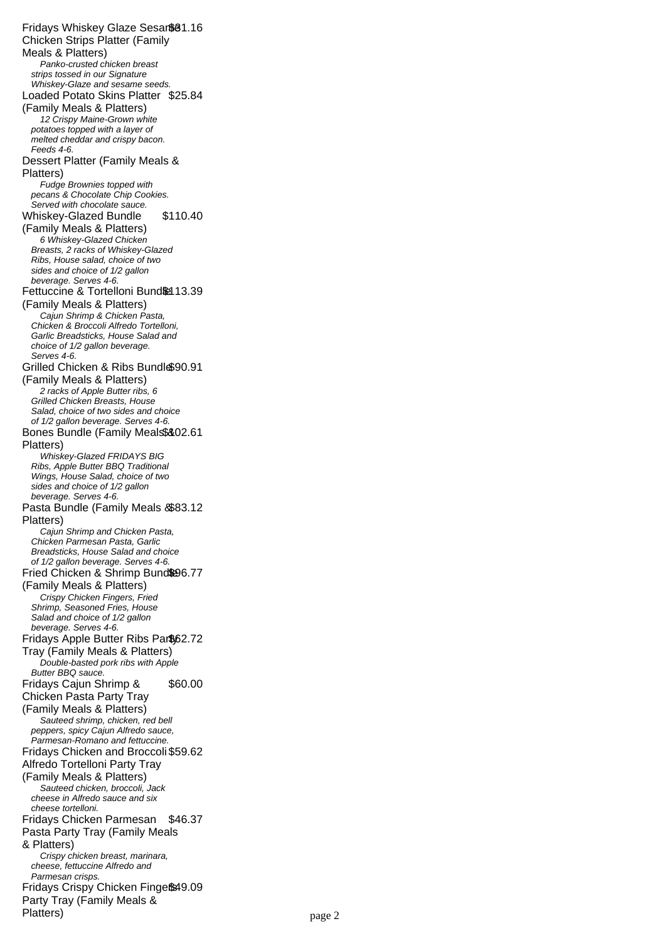Fridays Whiskey Glaze Sesar\$81.16 Chicken Strips Platter (Family Meals & Platters) Panko-crusted chicken breast strips tossed in our Signature Whiskey-Glaze and sesame seeds. Loaded Potato Skins Platter \$25.84 (Family Meals & Platters) 12 Crispy Maine-Grown white potatoes topped with a layer of melted cheddar and crispy bacon. Feeds 4-6. Dessert Platter (Family Meals & Platters) Fudge Brownies topped with pecans & Chocolate Chip Cookies. Served with chocolate sauce. Whiskey-Glazed Bundle (Family Meals & Platters) \$110.40 6 Whiskey-Glazed Chicken Breasts, 2 racks of Whiskey-Glazed Ribs, House salad, choice of two sides and choice of 1/2 gallon beverage. Serves 4-6. Fettuccine & Tortelloni Bund&13.39 (Family Meals & Platters) Cajun Shrimp & Chicken Pasta, Chicken & Broccoli Alfredo Tortelloni, Garlic Breadsticks, House Salad and choice of 1/2 gallon beverage. Serves 4-6. Grilled Chicken & Ribs Bundl \$90.91 (Family Meals & Platters) 2 racks of Apple Butter ribs, 6 Grilled Chicken Breasts, House Salad, choice of two sides and choice of 1/2 gallon beverage. Serves 4-6. Bones Bundle (Family Meals\$&02.61 Platters) Whiskey-Glazed FRIDAYS BIG Ribs, Apple Butter BBQ Traditional Wings, House Salad, choice of two sides and choice of 1/2 gallon beverage. Serves 4-6. Pasta Bundle (Family Meals & \$83.12 Platters) Cajun Shrimp and Chicken Pasta, Chicken Parmesan Pasta, Garlic Breadsticks, House Salad and choice of 1/2 gallon beverage. Serves 4-6. Fried Chicken & Shrimp Bund&96.77 (Family Meals & Platters) Crispy Chicken Fingers, Fried Shrimp, Seasoned Fries, House Salad and choice of 1/2 gallon beverage. Serves 4-6. Fridays Apple Butter Ribs Par\$62.72 Tray (Family Meals & Platters) Double-basted pork ribs with Apple Butter BBQ sauce. Fridays Cajun Shrimp & Chicken Pasta Party Tray (Family Meals & Platters) \$60.00 Sauteed shrimp, chicken, red bell peppers, spicy Cajun Alfredo sauce, Parmesan-Romano and fettuccine. Fridays Chicken and Broccoli \$59.62 Alfredo Tortelloni Party Tray (Family Meals & Platters) Sauteed chicken, broccoli, Jack cheese in Alfredo sauce and six cheese tortelloni. Fridays Chicken Parmesan \$46.37 Pasta Party Tray (Family Meals & Platters) Crispy chicken breast, marinara, cheese, fettuccine Alfredo and Parmesan crisps. Fridays Crispy Chicken Finge®49.09 Party Tray (Family Meals & Platters)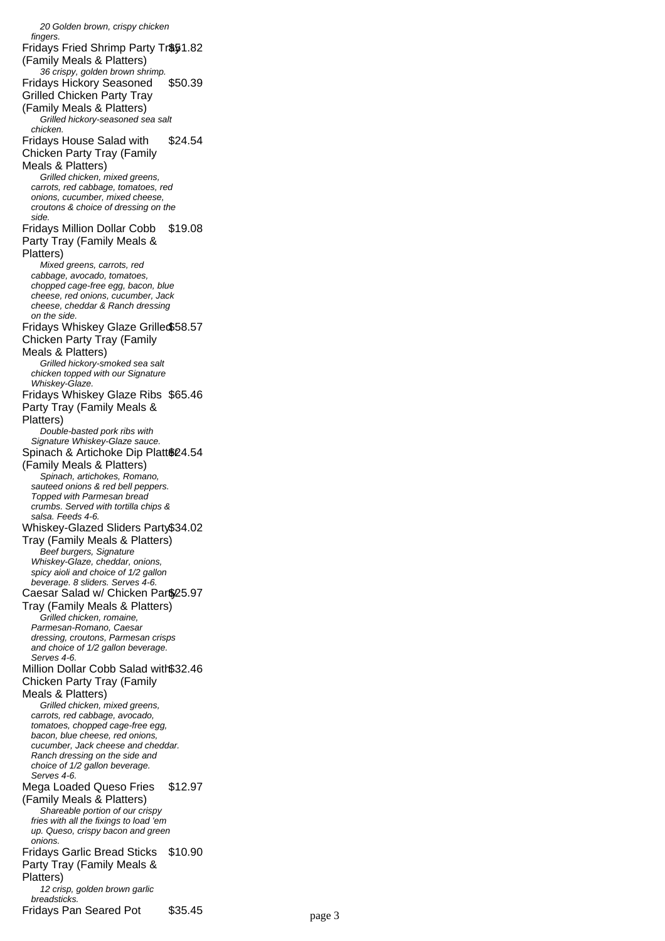20 Golden brown, crispy chicken fingers Fridays Fried Shrimp Party Tr\$51.82 (Family Meals & Platters) 36 crispy, golden brown shrimp. Fridays Hickory Seasoned Grilled Chicken Party Tray (Family Meals & Platters) \$50.39 Grilled hickory-seasoned sea salt chicken. Fridays House Salad with Chicken Party Tray (Family Meals & Platters) \$24.54 Grilled chicken, mixed greens, carrots, red cabbage, tomatoes, red onions, cucumber, mixed cheese, croutons & choice of dressing on the side. Fridays Million Dollar Cobb Party Tray (Family Meals & Platters) \$19.08 Mixed greens, carrots, red cabbage, avocado, tomatoes, chopped cage-free egg, bacon, blue cheese, red onions, cucumber, Jack cheese, cheddar & Ranch dressing on the side. Fridays Whiskey Glaze Grilled \$58.57 Chicken Party Tray (Family Meals & Platters) Grilled hickory-smoked sea salt chicken topped with our Signature Whiskey-Glaze. Fridays Whiskey Glaze Ribs \$65.46 Party Tray (Family Meals & Platters) Double-basted pork ribs with Signature Whiskey-Glaze sauce. Spinach & Artichoke Dip Platt@ 24.54 (Family Meals & Platters) Spinach, artichokes, Romano, sauteed onions & red bell peppers. Topped with Parmesan bread crumbs. Served with tortilla chips & salsa. Feeds 4-6. Whiskey-Glazed Sliders Party \$34.02 Tray (Family Meals & Platters) Beef burgers, Signature Whiskey-Glaze, cheddar, onions, spicy aioli and choice of 1/2 gallon beverage. 8 sliders. Serves 4-6. Caesar Salad w/ Chicken Part\$25.97 Tray (Family Meals & Platters) Grilled chicken, romaine, Parmesan-Romano, Caesar dressing, croutons, Parmesan crisps and choice of 1/2 gallon beverage. Serves 4-6. Million Dollar Cobb Salad with \$32.46 Chicken Party Tray (Family Meals & Platters) Grilled chicken, mixed greens, carrots, red cabbage, avocado, tomatoes, chopped cage-free egg, bacon, blue cheese, red onions, cucumber, Jack cheese and cheddar. Ranch dressing on the side and choice of 1/2 gallon beverage. Serves 4-6. Mega Loaded Queso Fries (Family Meals & Platters) \$12.97 Shareable portion of our crispy fries with all the fixings to load 'em up. Queso, crispy bacon and green onions. Fridays Garlic Bread Sticks Party Tray (Family Meals & Platters) \$10.90 12 crisp, golden brown garlic breadsticks. Fridays Pan Seared Pot \$35.45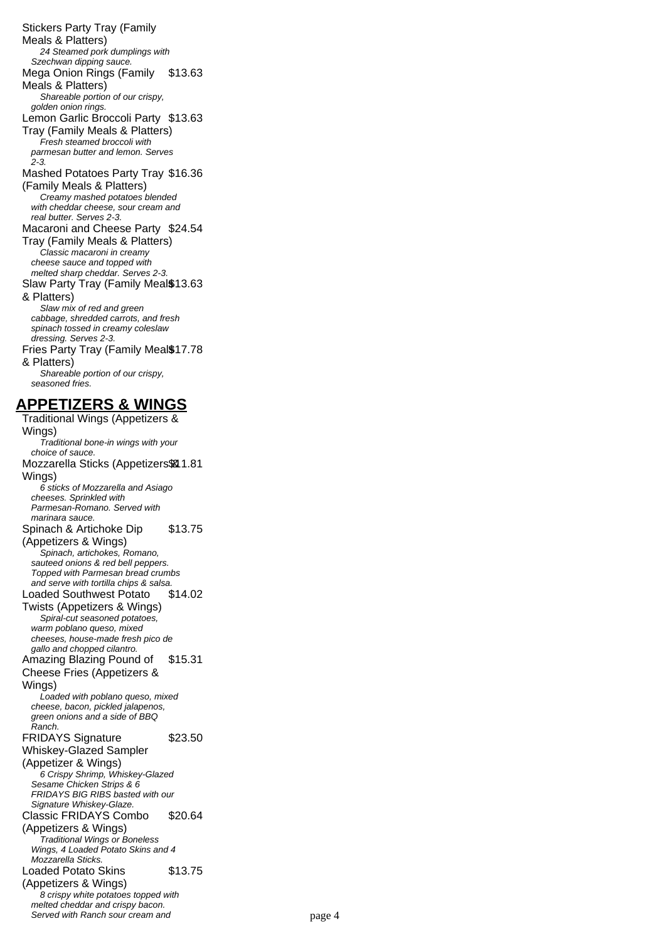Stickers Party Tray (Family Meals & Platters) 24 Steamed pork dumplings with Szechwan dipping sauce. Mega Onion Rings (Family Meals & Platters) \$13.63 Shareable portion of our crispy, golden onion rings. Lemon Garlic Broccoli Party \$13.63 Tray (Family Meals & Platters) Fresh steamed broccoli with parmesan butter and lemon. Serves 2-3. Mashed Potatoes Party Tray \$16.36 (Family Meals & Platters) Creamy mashed potatoes blended with cheddar cheese, sour cream and real butter. Serves 2-3. Macaroni and Cheese Party \$24.54 Tray (Family Meals & Platters) Classic macaroni in creamy cheese sauce and topped with melted sharp cheddar. Serves 2-3. Slaw Party Tray (Family Meal \$13.63 & Platters) Slaw mix of red and green cabbage, shredded carrots, and fresh spinach tossed in creamy coleslaw dressing. Serves 2-3. Fries Party Tray (Family Meal\$17.78 & Platters) Shareable portion of our crispy, seasoned fries.

## **APPETIZERS & WINGS**

Traditional Wings (Appetizers & Wings) Traditional bone-in wings with your choice of sauce. Mozzarella Sticks (Appetizers \$81.81 Wings) 6 sticks of Mozzarella and Asiago cheeses. Sprinkled with Parmesan-Romano. Served with marinara sauce. Spinach & Artichoke Dip (Appetizers & Wings) \$13.75 Spinach, artichokes, Romano, sauteed onions & red bell peppers. Topped with Parmesan bread crumbs and serve with tortilla chips & salsa. Loaded Southwest Potato Twists (Appetizers & Wings) \$14.02 Spiral-cut seasoned potatoes, warm poblano queso, mixed cheeses, house-made fresh pico de gallo and chopped cilantro. Amazing Blazing Pound of Cheese Fries (Appetizers & Wings) \$15.31 Loaded with poblano queso, mixed cheese, bacon, pickled jalapenos, green onions and a side of BBQ Ranch. FRIDAYS Signature Whiskey-Glazed Sampler (Appetizer & Wings) \$23.50 6 Crispy Shrimp, Whiskey-Glazed Sesame Chicken Strips & 6 FRIDAYS BIG RIBS basted with our Signature Whiskey-Glaze. Classic FRIDAYS Combo (Appetizers & Wings) \$20.64 Traditional Wings or Boneless Wings, 4 Loaded Potato Skins and 4 Mozzarella Sticks. Loaded Potato Skins (Appetizers & Wings) \$13.75 8 crispy white potatoes topped with melted cheddar and crispy bacon. Served with Ranch sour cream and page 4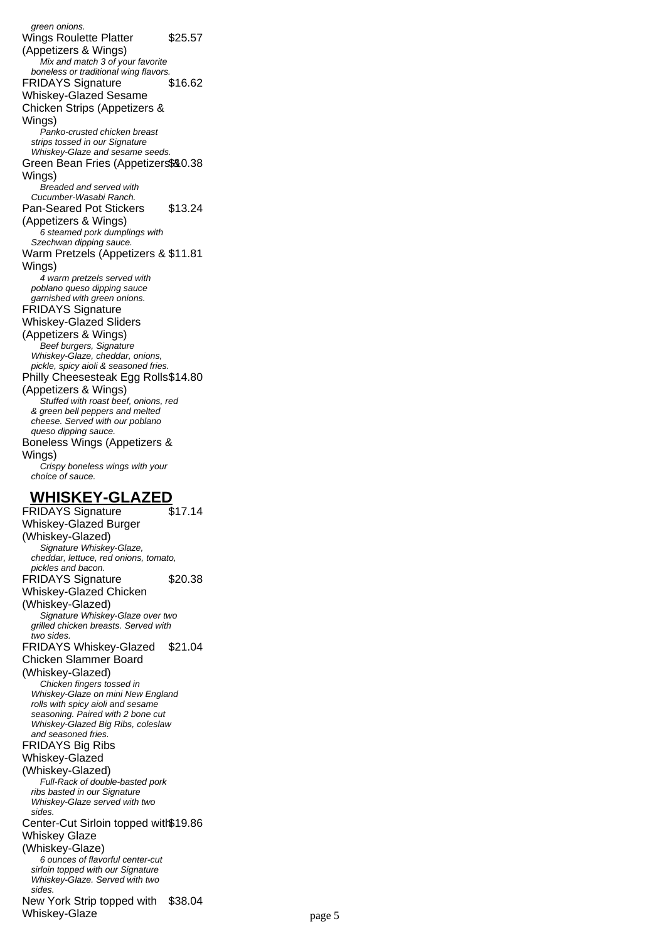green onions. Wings Roulette Platter (Appetizers & Wings) \$25.57 Mix and match 3 of your favorite boneless or traditional wing flavors. FRIDAYS Signature Whiskey-Glazed Sesame Chicken Strips (Appetizers & Wings) \$16.62 Panko-crusted chicken breast strips tossed in our Signature Whiskey-Glaze and sesame seeds. Green Bean Fries (Appetizers\$&0.38 Wings) Breaded and served with Cucumber-Wasabi Ranch. Pan-Seared Pot Stickers (Appetizers & Wings) \$13.24 6 steamed pork dumplings with Szechwan dipping sauce. Warm Pretzels (Appetizers & \$11.81 Wings) 4 warm pretzels served with poblano queso dipping sauce garnished with green onions. FRIDAYS Signature Whiskey-Glazed Sliders (Appetizers & Wings) Beef burgers, Signature Whiskey-Glaze, cheddar, onions, pickle, spicy aioli & seasoned fries. Philly Cheesesteak Egg Rolls \$14.80 (Appetizers & Wings) Stuffed with roast beef, onions, red & green bell peppers and melted cheese. Served with our poblano queso dipping sauce. Boneless Wings (Appetizers & Wings) Crispy boneless wings with your choice of sauce. **WHISKEY-GLAZED**

FRIDAYS Signature Whiskey-Glazed Burger (Whiskey-Glazed) \$17.14 Signature Whiskey-Glaze, cheddar, lettuce, red onions, tomato, pickles and bacon. FRIDAYS Signature Whiskey-Glazed Chicken (Whiskey-Glazed) \$20.38 Signature Whiskey-Glaze over two grilled chicken breasts. Served with two sides. FRIDAYS Whiskey-Glazed \$21.04 Chicken Slammer Board (Whiskey-Glazed) Chicken fingers tossed in Whiskey-Glaze on mini New England rolls with spicy aioli and sesame seasoning. Paired with 2 bone cut Whiskey-Glazed Big Ribs, coleslaw and seasoned fries. FRIDAYS Big Ribs Whiskey-Glazed (Whiskey-Glazed) Full-Rack of double-basted pork ribs basted in our Signature Whiskey-Glaze served with two sides. Center-Cut Sirloin topped with \$19.86 Whiskey Glaze (Whiskey-Glaze) 6 ounces of flavorful center-cut sirloin topped with our Signature Whiskey-Glaze. Served with two sides. New York Strip topped with \$38.04 Whiskey-Glaze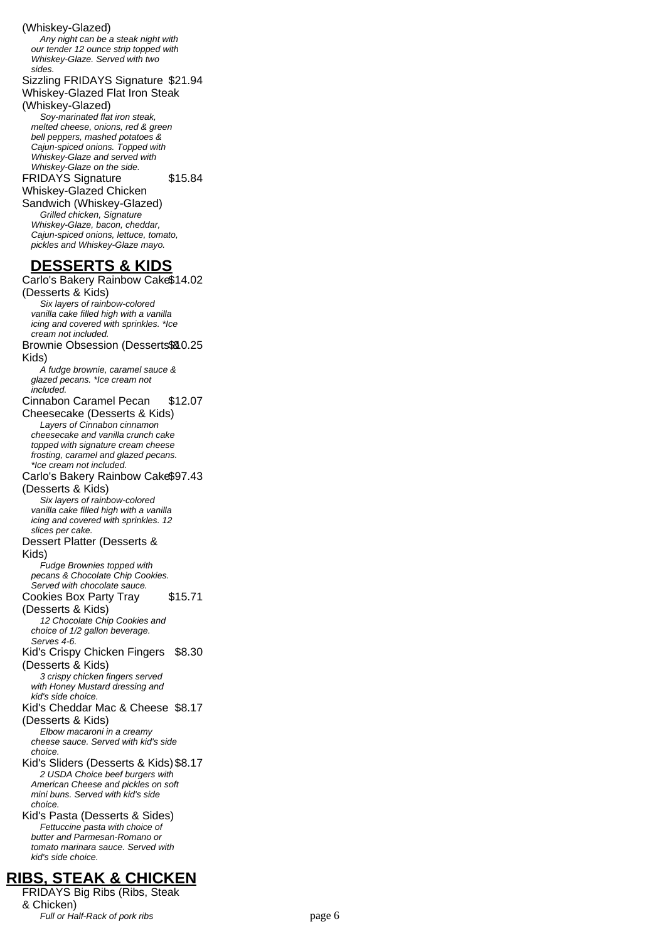#### (Whiskey-Glazed)

Any night can be a steak night with our tender 12 ounce strip topped with Whiskey-Glaze. Served with two sides.

Sizzling FRIDAYS Signature \$21.94 Whiskey-Glazed Flat Iron Steak

(Whiskey-Glazed) Soy-marinated flat iron steak, melted cheese, onions, red & green bell peppers, mashed potatoes & Cajun-spiced onions. Topped with Whiskey-Glaze and served with

Whiskey-Glaze on the side.

\$15.84

FRIDAYS Signature Whiskey-Glazed Chicken Sandwich (Whiskey-Glazed) Grilled chicken, Signature Whiskey-Glaze, bacon, cheddar, Cajun-spiced onions, lettuce, tomato, pickles and Whiskey-Glaze mayo.

### **DESSERTS & KIDS**

Carlo's Bakery Rainbow Cake \$14.02 (Desserts & Kids) Six layers of rainbow-colored vanilla cake filled high with a vanilla icing and covered with sprinkles. \*Ice cream not included. Brownie Obsession (Desserts \$80.25 Kids) A fudge brownie, caramel sauce & glazed pecans. \*Ice cream not included. Cinnabon Caramel Pecan Cheesecake (Desserts & Kids) \$12.07 Layers of Cinnabon cinnamon cheesecake and vanilla crunch cake topped with signature cream cheese frosting, caramel and glazed pecans. \*Ice cream not included. Carlo's Bakery Rainbow Cake \$97.43 (Desserts & Kids) Six layers of rainbow-colored vanilla cake filled high with a vanilla icing and covered with sprinkles. 12 slices per cake. Dessert Platter (Desserts & Kids) Fudge Brownies topped with pecans & Chocolate Chip Cookies. Served with chocolate sauce. Cookies Box Party Tray (Desserts & Kids) \$15.71 12 Chocolate Chip Cookies and choice of 1/2 gallon beverage. Serves 4-6. Kid's Crispy Chicken Fingers (Desserts & Kids) \$8.30 3 crispy chicken fingers served with Honey Mustard dressing and kid's side choice. Kid's Cheddar Mac & Cheese \$8.17 (Desserts & Kids) Elbow macaroni in a creamy cheese sauce. Served with kid's side choice. Kid's Sliders (Desserts & Kids)\$8.17 2 USDA Choice beef burgers with American Cheese and pickles on soft mini buns. Served with kid's side choice. Kid's Pasta (Desserts & Sides) Fettuccine pasta with choice of butter and Parmesan-Romano or tomato marinara sauce. Served with kid's side choice.

# **RIBS, STEAK & CHICKEN**

FRIDAYS Big Ribs (Ribs, Steak & Chicken) Full or Half-Rack of pork ribs page 6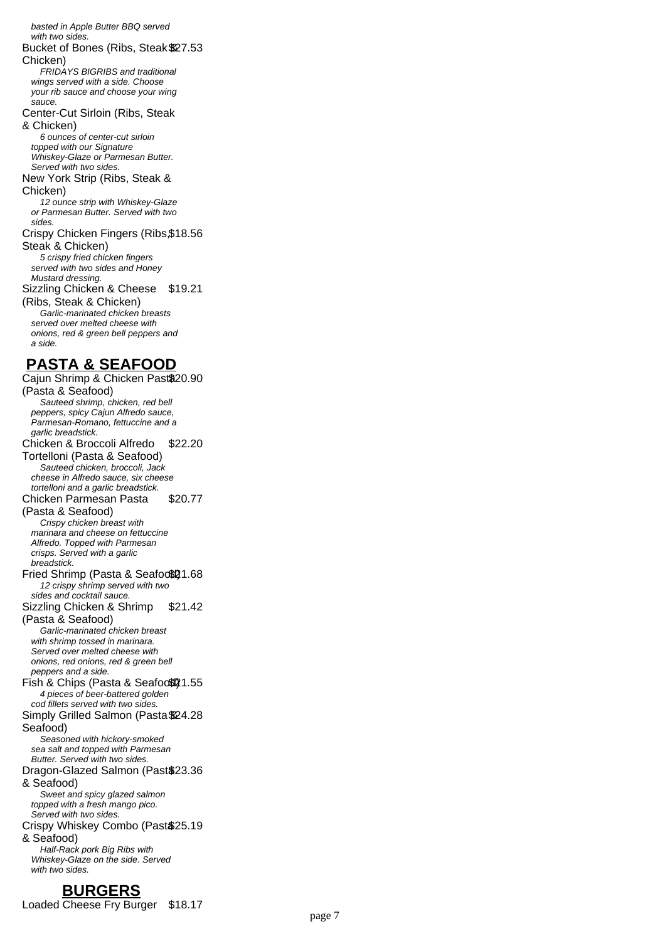basted in Apple Butter BBQ served with two sides. Bucket of Bones (Ribs, Steak & \$27.53 Chicken) FRIDAYS BIGRIBS and traditional wings served with a side. Choose your rib sauce and choose your wing sauce. Center-Cut Sirloin (Ribs, Steak & Chicken) 6 ounces of center-cut sirloin topped with our Signature Whiskey-Glaze or Parmesan Butter. Served with two sides. New York Strip (Ribs, Steak & Chicken) 12 ounce strip with Whiskey-Glaze or Parmesan Butter. Served with two sides. Crispy Chicken Fingers (Ribs, \$18.56 Steak & Chicken) 5 crispy fried chicken fingers served with two sides and Honey Mustard dressing. Sizzling Chicken & Cheese \$19.21 (Ribs, Steak & Chicken) Garlic-marinated chicken breasts served over melted cheese with onions, red & green bell peppers and a side. **PASTA & SEAFOOD** Cajun Shrimp & Chicken Past\$20.90 (Pasta & Seafood) Sauteed shrimp, chicken, red bell peppers, spicy Cajun Alfredo sauce, Parmesan-Romano, fettuccine and a garlic breadstick. Chicken & Broccoli Alfredo Tortelloni (Pasta & Seafood) \$22.20 Sauteed chicken, broccoli, Jack cheese in Alfredo sauce, six cheese tortelloni and a garlic breadstick. Chicken Parmesan Pasta (Pasta & Seafood) \$20.77 Crispy chicken breast with marinara and cheese on fettuccine Alfredo. Topped with Parmesan crisps. Served with a garlic breadstick. Fried Shrimp (Pasta & Seafoo\$21.68 12 crispy shrimp served with two sides and cocktail sauce. Sizzling Chicken & Shrimp (Pasta & Seafood) \$21.42 Garlic-marinated chicken breast with shrimp tossed in marinara. Served over melted cheese with onions, red onions, red & green bell peppers and a side. Fish & Chips (Pasta & Seafood)21.55 4 pieces of beer-battered golden cod fillets served with two sides. Simply Grilled Salmon (Pasta \$24.28 Seafood) Seasoned with hickory-smoked sea salt and topped with Parmesan Butter. Served with two sides. Dragon-Glazed Salmon (Past\$23.36 & Seafood) Sweet and spicy glazed salmon topped with a fresh mango pico. Served with two sides. Crispy Whiskey Combo (Past \$25.19 & Seafood) Half-Rack pork Big Ribs with Whiskey-Glaze on the side. Served with two sides

#### **BURGERS**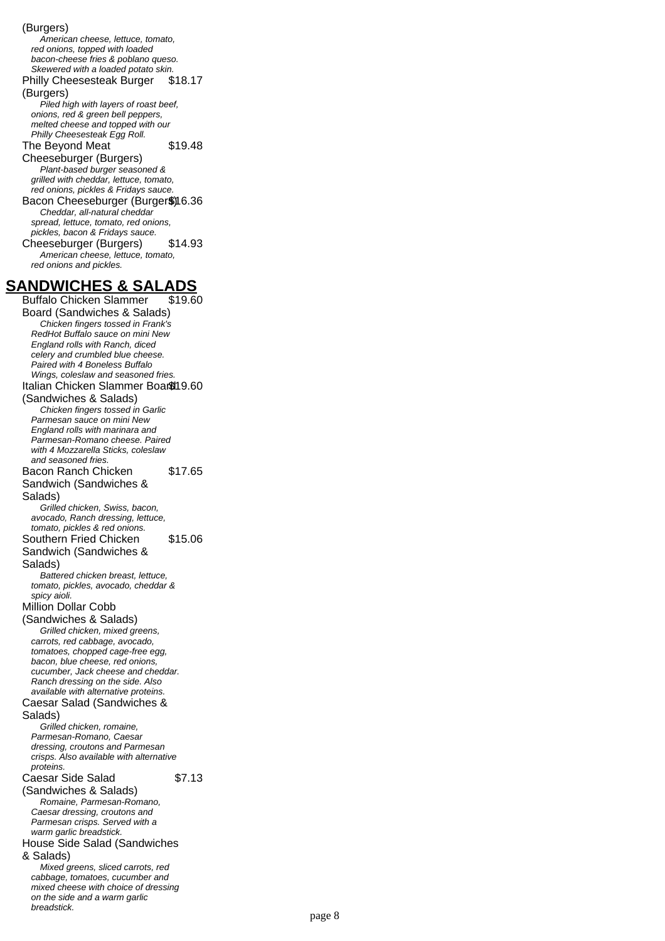(Burgers) American cheese, lettuce, tomato, red onions, topped with loaded bacon-cheese fries & poblano queso. Skewered with a loaded potato skin. Philly Cheesesteak Burger (Burgers) \$18.17 Piled high with layers of roast beef, onions, red & green bell peppers, melted cheese and topped with our Philly Cheesesteak Egg Roll. The Beyond Meat Cheeseburger (Burgers) \$19.48 Plant-based burger seasoned & grilled with cheddar, lettuce, tomato, red onions, pickles & Fridays sauce. Bacon Cheeseburger (Burger\$)16.36 Cheddar, all-natural cheddar spread, lettuce, tomato, red onions, pickles, bacon & Fridays sauce. Cheeseburger (Burgers) \$14.93 American cheese, lettuce, tomato, red onions and pickles. **SANDWICHES & SALADS** Buffalo Chicken Slammer Board (Sandwiches & Salads) \$19.60 Chicken fingers tossed in Frank's RedHot Buffalo sauce on mini New England rolls with Ranch, diced celery and crumbled blue cheese. Paired with 4 Boneless Buffalo Wings, coleslaw and seasoned fries. Italian Chicken Slammer Board \$19.60 (Sandwiches & Salads) Chicken fingers tossed in Garlic Parmesan sauce on mini New England rolls with marinara and Parmesan-Romano cheese. Paired with 4 Mozzarella Sticks, coleslaw and seasoned fries. Bacon Ranch Chicken Sandwich (Sandwiches & Salads) \$17.65 Grilled chicken, Swiss, bacon, avocado, Ranch dressing, lettuce, tomato, pickles & red onions. Southern Fried Chicken Sandwich (Sandwiches & Salads) \$15.06 Battered chicken breast, lettuce, tomato, pickles, avocado, cheddar & spicy aioli. Million Dollar Cobb (Sandwiches & Salads) Grilled chicken, mixed greens, carrots, red cabbage, avocado, tomatoes, chopped cage-free egg, bacon, blue cheese, red onions, cucumber, Jack cheese and cheddar. Ranch dressing on the side. Also available with alternative proteins. Caesar Salad (Sandwiches & Salads) Grilled chicken, romaine, Parmesan-Romano, Caesar dressing, croutons and Parmesan crisps. Also available with alternative proteins. Caesar Side Salad (Sandwiches & Salads) \$7.13 Romaine, Parmesan-Romano, Caesar dressing, croutons and Parmesan crisps. Served with a

> Mixed greens, sliced carrots, red cabbage, tomatoes, cucumber and mixed cheese with choice of dressing on the side and a warm garlic

warm garlic breadstick.

& Salads)

breadstick.

House Side Salad (Sandwiches